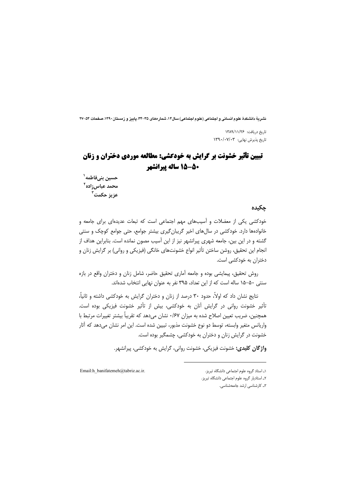نشرية دانشكدة علوم انساني و اجتماعي (علوم اجتماعي) سال ١٤، شمار مهاي ٣٥-٣٣. يابيز و زمستان ١٣٩٠، صفحات ٥٣-٢٧

تاريخ دريافت: ۱۳۸۹/۱۱/۲۶ تاریخ پذیرش نهایی: ۱۳۹۰/۰۷/۰۳

# **تبیین تأثیر خشونت بر گرایش به خودکشی: مطالعه موردی دختران و زنان** 50-55 ساله پیرانشهر

حسین بنیفاطمه<sup>۱</sup> محمد عباسiزاده<sup>۲</sup> عزيز حكمت<sup>7</sup>

چکیدہ

خودکشی یکی از معضلات و آسیبهای مهم اجتماعی است که تبعات عدیدهای برای جامعه و خانوادهها دارد. خودکشی در سالهای اخیر گریبان گیری بیشتر جوامع، حتی جوامع کوچک و سنتی گشته و در این بین، جامعه شهری پیرانشهر نیز از این آسیب مصون نمانده است. بنابراین هداف از انجام این تحقیق، روشن ساختن تأثیر انواع خشونتهای خانگی (فیزیکی و روانی) بر گرایش زنان و دختران به خودکشی است.

روش تحقیق، پیمایشی بوده و جامعه آماری تحقیق حاضر، شامل زنان و دختران واقع در بازه سنتی ۵۰–۱۵ ساله است که از این تعداد، ۳۹۵ نفر به عنوان نهایی انتخاب شدهاند.

نتایج نشان داد که اولاً، حدود ۳۰ درصد از زنان و دختران گرایش به خودکشی داشته و ثانیاً، تأثیر خشونت روانی در گرایش آنان به خودکشی، بیش از تأثیر خشونت فیزیکی بوده است. همچنین، ضریب تعیین اصلاح شده به میزان ۰/۶۷ نشان میدهد که تقریباً بیشتر تغییرات مرتبط با واریانس متغیر وابسته، توسط دو نوع خشونت مذبور، تبیین شده است. این امر نشان میدهد که آثار خشونت در گرایش زنان و دختران به خودکشی، چشمگیر بوده است.

واژگان کلیدی: خشونت فیزیکی، خشونت روانی، گرایش به خودکشی، پیرانشهر.

Email:h\_banifatemeh@tabriz.ac.ir.

٢ـ استاديار گروه علوم اجتماعي دانشگاه تبريز.

۳\_ کارشناسی ارشد حامعهشناسی.

۱ـ استاد گروه علوم اجتماعی دانشگاه تبریز.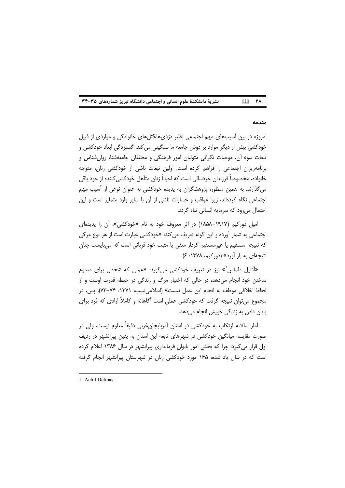$\Box$  YA نشریة دانشکدة علوم انسانی و اجتماعی دانشگاه تبریز شمارههای ۳۵-۳۴

#### مقدمه

امروزه در بین آسیبهای مهم اجتماعی نظیر دزدیها،قتلهای خانوادگی و مواردی از قبیل خودکشی بیش از دیگر موارد بر دوش جامعه ما سنگینی می کند. گستردگی ابعاد خودکشی و تبعات سوء آن، موجبات نگرانی متولیان امور فرهنگی و محققان جامعهشنا، روانشناس و برنامهریزان اجتماعی را فراهم کرده است. اولین تبعات ناشی از خودکشی زنان، متوجه خانواده، مخصوصاً فرزندان خردسالي است كه احياناً زنان متأهل خودكشي كننده از خود باقي می گذارند. به همین منظور، پژوهشگران به پدیده خودکشی به عنوان نوعی از آسیب مهم اجتماعی نگاه کردهاند، زیرا عواقب و خسارات ناشی از آن با سایر وارد متمایز است و این احتمال می رود که سرمایه انسانی تباه گردد.

امیل دورکیم (۱۹۱۷-۱۸۵۸) در اثر معروف خود به نام «خودکشی»، آن را پدیدهای اجتماعی به شمار اَورده و این گونه تعریف میکند: «خودکشی عبارت است از هر نوع مرگی که نتیجه مستقیم یا غیرمستقیم کردار منفی یا مثبت خود قربانی است که میبایست چنان نتیجهای به بار آورد» (دورکیم، ۱۳۷۸: ۶).

«آشیل دلماس<sup>\</sup>» نیز در تعریف خودکشی میگوید: «عملی که شخص برای معدوم ساختن خود انجام میدهد، در حالی که اختیار مرگ و زندگی در حیطه قدرت اوست و از لحاظ اخلاقی موظف به انجام این عمل نیست» (اسلامی نسب، ۱۳۷۱: ۷۴–۷۳). پس، در مجموع می توان نتیجه گرفت که خودکشی عملی است آگاهانه و کاملاً ارادی که فرد برای پایان دادن به زندگی خویش انجام میدهد.

آمار سالانه ارتکاب به خودکشی در استان آذربایجانِ غربی دقیقاً معلوم نیست، ولی در صورت مقایسه میانگین خودکشی در شهرهای تابعه این استان به یقین پیرانشهر در ردیف اول قرار می گیرد؛ چرا که بخش امور بانوان فرمانداری پیرانشهر در سال ۱۳۸۶ اعلام کرده است که در سال یاد شده، ۱۶۵ مورد خودکشی زنان در شهرستان پیرانشهر انجام گرفته

<sup>1-</sup> Achil Delmas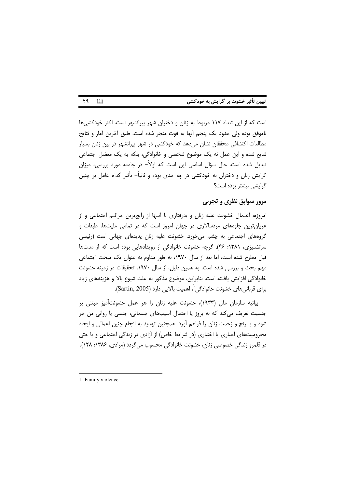| تبیین تأثیر خشوت بر گرایش به خودکشی |  |  |  |
|-------------------------------------|--|--|--|
|-------------------------------------|--|--|--|

است که از این تعداد ۱۱۷ مربوط به زنان و دختران شهر پیرانشهر است. اکثر خودکشیها ناموفق بوده ولي حدود يک پنجم أنها به فوت منجر شده است. طبق أخرين أمار و نتايج مطالعات اکتشافی محققان نشان میدهد که خودکشی در شهر پیرانشهر در بین زنان بسیار شایع شده و این عمل نه یک موضوع شخصی و خانوادگی، بلکه به یک معضل اجتماعی تبدیل شده است. حال سؤال اساسی این است که اولاً– در جامعه مورد بررسی، میزان گرایش زنان و دختران به خودکشی در چه حدی بوده و ثانیاً– تأثیر کدام عامل بر چنین گرایشی بیشتر بوده است؟

## مرور سوابق نظری و تجربی

امروزه، اعــمال خشونت عليه زنان و بدرفتاري با أنــها از رايجترين جرائــم اجتماعي و از عریانترین جلوههای مردسالاری در جهان امروز است که در تمامی ملیتها، طبقات و گروههای اجتماعی به چشم میخورد. خشونت علیه زنان پدیدهای جهانی است (رئیسی سرتشنیزی، ۱۳۸۱: ۴۶). گرچه خشونت خانوادگی از رویدادهایی بوده است که از مدتها قبل مطرح شده است، اما بعد از سال ۱۹۷۰، به طور مداوم به عنوان یک مبحث اجتماعی مهم بحث و بررسی شده است. به همین دلیل، از سال ۱۹۷۰، تحقیقات در زمینه خشونت خانوادگی افزایش یافته است. بنابراین، موضوع مذکور به علت شیوع بالا و هزینههای زیاد برای قربانی های خشونت خانوادگی`، اهمیت بالایی دارد (Sartin, 2005).

بيانيه سازمان ملل (١٩٣٣)، خشونت عليه زنان را هر عمل خشونتآميز مبتني بر جنسیت تعریف می کند که به بروز یا احتمال آسیبهای جسمانی، جنسی یا روانی من جر شود و یا رنج و زحمت زنان را فراهم آورد. همچنین تهدید به انجام چنین اعمالی و ایجاد محرومیتهای اجباری یا اختیاری (در شرایط خاص) از آزادی در زندگی اجتماعی و یا حتی در قلمرو زندگی خصوصی زنان، خشونت خانوادگی محسوب میگردد (مرادی، ۱۳۸۶: ۱۲۸).

۲۹  $\Box$ 

<sup>1-</sup> Family violence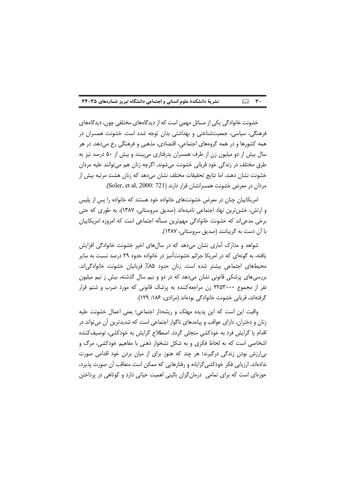#### $\Box$   $\mathbf{r}$ . نشریة دانشکدة علوم انسانی و اجتماعی دانشگاه تبریز شمارههای ۳۵-۳۴

خشونت خانوادگی یکی از مسائل مهمی است که از دیدگاههای مختلفی چون، دیدگاههای فرهنگی، سیاسی، جمعیتشناختی و بهداشتی بدان توجه شده است. خشونت همسران در همه کشورها و در همه گروههای اجتماعی، اقتصادی، مذهبی و فرهنگی رخ می دهد. در هر سال بیش از دو میلیون زن از طرف همسران بدرفتاری می،بینند و بیش از ۵۰ درصد نیز به طرق مختلف در زندگی خود قربانی خشونت میشوند. اگرچه زنان هم می توانند علیه مردان خشونت نشان دهند، اما نتايج تحقيقات مختلف نشان مي دهد كه زنان هشت مرتبه بيش از مردان در معرض خشونت همسرانشان قرار دارند (Soler, et al, 2000: 721).

امریکاییان چنان در معرض خشونتهای خانواده خود هستند که خانواده را پس از پلیس و ارتش، خشن ترین نهاد اجتماعی نامیدهاند (صدیق سروستانی، ۱۳۸۷)، به طوری که حتی برخی مدعی|ند که خشونت خانوادگی مهمترین مسأله اجتماعی است که امروزه امریکاییان با آن دست به گریباننند (صدیق سروستانی، ۱۳۸۷).

شواهد و مدارک آماری نشان می دهد که در سال های اخیر خشونت خانوادگی افزایش یافته، به گونهای که در امریکا جرائم خشونتآمیز در خانواده حدود ۲۹ درصد نسبت به سایر محیطهای اجتماعی بیشتر شده است. زنان حدود ۸۵٪ قربانیان خشونت خانوادگی|ند. بررسی های پزشکی قانونی نشان میدهد که در دو و نیم سال گذشته، بیش ز نیم میلیون نفر از مجموع ۲۲۵۳۰۰۰ زن مراجعهکننده به پزشک قانونی که مورد ضرب و شتم قرار گرفتهاند، قربانی خشونت خانوادگی بودهاند (مرادی، ۱۸۶: ۱۲۹).

واقيت اين است كه اين يديده مهلک و ريشهدار اجتماعي؛ يعني اعمال خشونت عليه زنان و دختران، دارای عواقب و پیامدهای ناگوار اجتماعی است که شدیدترین آن می¤واند در اقدام یا گرایش فرد به خودکشی متجلی گردد. اصطلاح گرایش به خودکشی، توصیفکننده اشخاصی است که به لحاظ فکری و به شکل نشخوار ذهنی با مفاهیم خودکشی، مرگ و بی ارزش بودن زندگی درگیرند؛ هر چند که هنوز برای از میان بردن خود اقدامی صورت ندادهاند. ارزیابی فکر خودکشی گرایانه و رفتارهایی که ممکن است متعاقب آن صورت پذیرد، حوزهای است که برای تمامی ِ درمانِ گران بالینی اهمیت حیاتی دارد و کوتاهی در پرداختن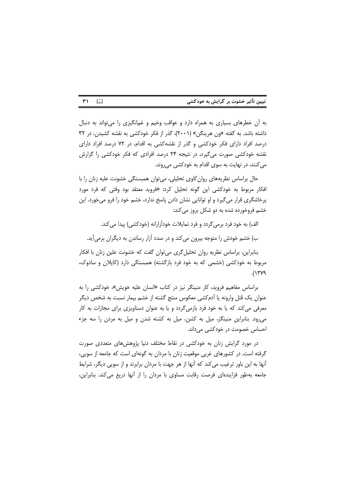| تبیین تأثیر خشوت بر گرایش به خودکشی |  |  |
|-------------------------------------|--|--|
|-------------------------------------|--|--|

 $\mathbf{r}$  $\Box$ 

به آن خطرهای بسیاری به همراه دارد و عواقب وخیم و غمانگیزی را میتواند به دنبال داشته باشد. به گفته «ون هرینگن» (۲۰۰۱)، گذر از فکر خودکشی به نقشه کشیدن، در ۳۲ درصد افراد دارای فکر خودکشی و گذر از نقشهکشی به اقدام، در ۷۲ درصد افراد دارای نقشه خودکشی صورت میگیرد، در نتیجه ۲۴ درصد افرادی که فکر خودکشی را گزارش می کنند، در نهایت به سوی اقدام به خودکشی می روند.

حال براساس نظریههای روان کاوی تحلیلی، می توان همبستگی خشونت علیه زنان را با افکار مربوط به خودکشی این گونه تحلیل کرد: «فروید معتقد بود وقتی که فرد مورد پرخاشگری قرار میگیرد و او توانایی نشان دادن پاسخ ندارد، خشم خود را فرو میخورد. این خشم فروخورده شده به دو شکل بروز می کند:

الف) به خود فرد برمیگردد و فرد تمایلات خودآزارانه (خودکشی) پیدا می کند.

ب) خشم خودش را متوجه بیرون می کند و در صدد آزار رساندن به دیگران برمی آید.

بنابراین، براساس نظریه روان تحلیل گری می توان گفت که خشونت علین زنان با افکار مربوط به خودکشی (خشمی که به خود فرد بازگشته) همبستگی دارد (کاپلان و سادوک،  $\Lambda$ ۲۷۹).

براساس مفاهیم فروید، کار منینگر نیز در کتاب «انسان علیه خویش»، خودکشی را به عنوان یک قتل وارونه یا آدمکشی معکوس منتج گشته از خشم بیمار نسبت به شخص دیگر معرفی می کند که یا به خود فرد بازمیگردد و یا به عنوان دستاویزی برای مجازات به کار می رود. بنابراین منینگز، میل به کشن، میل به کشته شدن و میل به مردن را سه جزء احساس خصومت در خودکشی می داند.

در مورد گرایش زنان به خودکشی در نقاط مختلف دنیا پژوهش های متعددی صورت گرفته است. در کشورهای غربی موقعیت زنان با مردان به گونهای است که جامعه از سویی، آنها به این باور ترغیب می کند که آنها از هر جهت با مردان برابرند و از سویی دیگر، شرایط جامعه بهطور فزایندهای فرصت رقابت مساوی با مردان را از آنها دریغ می کند. بنابراین،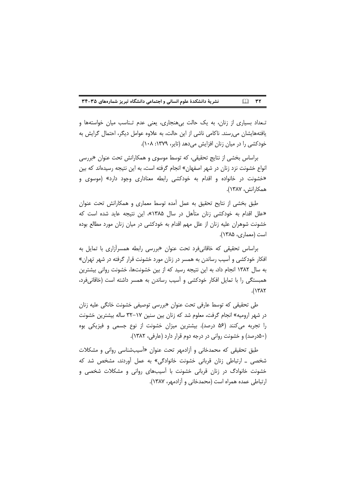#### نشریة دانشکدة علوم انسانی و اجتماعی دانشگاه تبریز شمارههای ۳۵-۳۴  $\Box$  ۳۲

تـعداد بسیاری از زنان، به یک حالت بیهنجاری، یعنی عدم تـناسب میان خواستهها و یافتههایشان میرسند. ناکامی ناشی از این حالت، به علاوه عوامل دیگر، احتمال گرایش به خودکشی را در میان زنان افزایش می دهد (تایر، ۱۳۷۹: ۱۰۸).

براساس بخشی از نتایج تحقیقی، که توسط موسوی و همکارانش تحت عنوان «بررسی انواع خشونت نزد زنان در شهر اصفهان» انجام گرفته است، به این نتیجه رسیدهاند که بین «خشونت در خانواده و اقدام به خودکشی رابطه معناداری وجود دارد» (موسوی و همكارانش، ١٣٨٧).

طبق بخشی از نتایح تحقیق به عمل آمده توسط معماری و همکارانش تحت عنوان «علل اقدام به خودکشی زنان متأهل در سال ۱۳۸۵»، این نتیجه عاید شده است که خشونت شوهران علیه زنان از علل مهم اقدام به خودکشی در میان زنان مورد مطالع بوده است (معماری، ۱۳۸۵).

براساس تحقیقی که خاقانیفرد تحت عنوان «بررسی رابطه همسرآزاری با تمایل به افکار خودکشی و آسیب رساندن به همسر در زنان مورد خشونت قرار گرفته در شهر تهران» به سال ۱۳۸۲ انجام داد، به این نتیجه رسید که از بین خشونتها، خشونت روانی بیشترین همبستگی را با تمایل افکار خودکشی و آسیب رساندن به همسر داشته است (خاقانیفرد،  $.(\Upsilon \wedge \Upsilon)$ 

طی تحقیقی که توسط عارفی تحت عنوان «بررسی توصیفی خشونت خانگی علیه زنان در شهر ارومیه» انجام گرفت، معلوم شد که زنان بین سنین ۱۷–۳۲ ساله بیشترین خشونت را تجربه میکنند (۵۶ درصد). بیشترین میزان خشونت از نوع جسمی و فیزیکی بوه (۵۰درصد) و خشونت روانی در درجه دوم قرار دارد (عارفی، ۱۳۸۲).

طبق تحقیقی که محمدخانی و آزادمهر تحت عنوان «آسیبشناسی روانی و مشکلات شخصی ــ ارتباطی زنان قربانی خشونت خانوادگی» به عمل آوردند، مشخص شد که خشونت خانوادگ در زنان قربانی خشونت با آسیبهای روانی و مشکلات شخصی و ارتباطی عمده همراه است (محمدخانی و آزادمهر، ۱۳۸۷).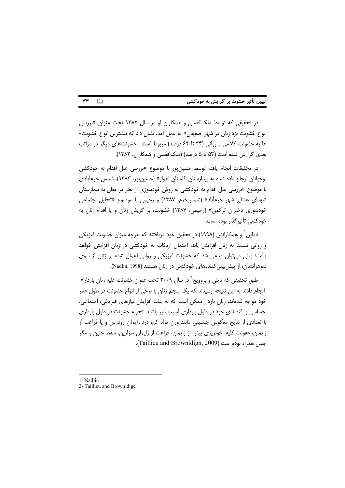| تبیین تأثیر خشوت بر گرایش به خودکشی |  |  |  |
|-------------------------------------|--|--|--|
|-------------------------------------|--|--|--|

در تحقیقی که توسط ملکافضلی و همکاران او در سال ۱۳۸۲ تحت عنوان «بررسی انواع خشونت نزد زنان در شهر اصفهان» به عمل آمد، نشان داد که بیشترین انواع خشونت-ها به خشونت کلامی ـ روانی (۳۴ تا ۶۲ درصد) مربوط است. خشونتهای دیگر در مراتب بعدی گزارش شده است (۵۳ تا ۵ درصد) (ملکافضلی و همکاران، ۱۳۸۲).

در تحقیقات انجام یافته توسط حسین یور با موضوع «بررسی علل اقدام به خودکش*ی* نوجوانان ارجاع داده شده به بیمارستان گلستان اهواز» (حسین یور، ۱۳۸۳)، شمس خرمآبادی با موضوع «بررسی علل اقدام به خودکشی به روش خودسوزی از نظر مراجعان به بیمارستان شهدای عشایر شهر خرمآباد» (شمسخرم، ۱۳۸۷) و رحیمی با موضوع «تحلیل اجتماعی خودسوزی دختران ترکمن» (رحیمی، ۱۳۸۷) خشونت، بر گریش زنان و یا اقدام آنان به خودكشى تأثير گذار بوده است.

نادلین' و همکارانش (۱۹۹۸) در تحقیق خود دریافتند که هرچه میزان خشونت فیزیکی و روانی نسبت به زنان افزایش پابد، احتمال ارتکاب به خودکشی در زنان افزایش خواهد یافت؛ یعنی می توان مدعی شد که خشونت فیزیکی و روانی اعمال شده بر زنان از سوی شوهرانشان، از پیش بینی کنندههای خودکشی در زنان هستند (Nadlin, 1998).

طبق تحقیقی که تایلی و بروویج<sup>٬</sup> در سال ۲۰۰۹ تحت عنوان خشونت علیه زنان باردار» انجام دادند به این نتیجه رسیدند که یک پنجم زنان با برخی از انواع خشونت در طول عمر خود مواجه شدهاند. زنان باردار ممکن است که به علت افزایش نیازهای فیزیکی، اجتماعی، احساسی و اقتصادی خود در طول بارداری آسیبیذیر باشند. تجربه خشونت در طول بارداری با تعدادی از نتایج معکوس جنسیتی مانند وزن تولد کم، درد زایمان زودرس و یا فراغت از زایمان، عفونت کلیه، خونریزی پیش از زایمان، فراغت از زایمان سزارین، سقط جنین و مگر جنين همراه بوده است (Taillieu and Brownidign, 2009).

 $\Box$ 

٣٣

<sup>1-</sup> Nadlin

<sup>2-</sup> Taillieu and Brownidige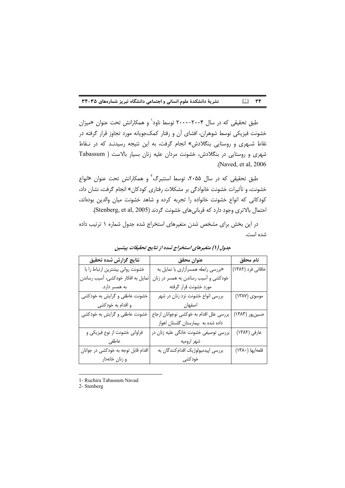#### $\Box$  rr نشریهٔ دانشکدهٔ علوم انسانی و اجتماعی دانشگاه تبریز شمارههای ۳۵-۳۴

طبق تحقیقی که در سال ۲۰۰۴–۲۰۰۰ توسط ناود<sup>\</sup> و همکارانش تحت عنوان «میزان خشونت فیزیکی توسط شوهران، افشای آن و رفتار کمکجویانه مورد تجاوز قرار گرفته در نقاط شـهري و روستايي بنگلادش» انجام گرفت، به اين نتيجه رسيدنـد كه در نـقاط شهری و روستایی در بنگلادش، خشونت مردان علیه زنان بسیار بالاست ( Tabassum .(Naved, et al, 2006)

طبق تحقیقی که در سال ۲۰۵۵، توسط استنبرگ<sup>۲</sup> و همکارانش تحت عنوان «انواع خشونت، و تأثیرات خشونت خانوادگی بر مشکلات رفتاری کودکان» انجام گرفت، نشان داد، کودکانی که انواع خشونت خانواده را تجربه کرده و شاهد خشونت میان والدین بودهاند، احتمال بالاترى وجود دارد كه قربانى هاى خشونت گردند (Stenberg, et al, 2005).

در این بخش برای مشخص شدن متغیرهای استخراج شده جدول شماره ١ ترتیب داده شده است.

| نتايج گزارش شده تحقيق               | عنوان محقق                              | نام محقق          |
|-------------------------------------|-----------------------------------------|-------------------|
| خشونت رواني بيشترين ارتباط رابا     | «بررسی رابطه همسراًزاری با تمایل به     | خاقانی فرد (۱۳۸۲) |
| تمایل به افکار خودکشی، آسیب رساندن  | خودکشی و آسیب رساندن به همسر در زنان    |                   |
| به همسر دارد.                       | مورد خشونت قرار گرفته                   |                   |
| خشونت عاطفي و گرايش به خودكشي       | بررسی انواع خشونت نزد زنان در شهر       | موسوى (١٣٨٧)      |
| و اقدام به خودکشی                   | اصفهان                                  |                   |
| خشونت عاطفي و گرايش به خودكشي       | بررسی علل اقدام به خوکشی نوجوانان ارجاع | حسين پور (١٣٨٣)   |
|                                     | داده شده به بیمارستان گلستان اهواز      |                   |
| فراوانی خشونت از نوع فیزیکی و       | بررسی توصیفی خشونت خانگی علیه زنان در   | عارفي (١٣٨٢)      |
| عاطفي                               | شهر اروميه                              |                   |
| اقدام قابل توجه به خودكشي در جوانان | بررسی اپیدمیولوژیک اقدام کنندگان به     | قلعه يها (١٣٨٠)   |
| و زنان خانەدار                      | خودكشى                                  |                   |

جدول (١) متغیرهای استخراج شده از نتایج تحقیقات پیشین

1- Ruchira Tabassum Navad

2- Stenberg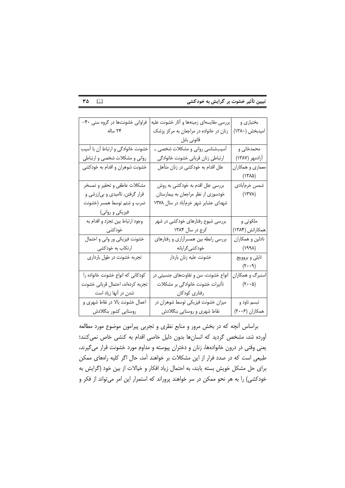$\mathsf{r}\mathsf{a}$   $\Box$ 

| فراوانی خشونتها در گروه سنی ۴۰-    | بررسی مقایسهای زمینهها و آثار خشونت علیه | بختیاری و                                       |
|------------------------------------|------------------------------------------|-------------------------------------------------|
| ٢۴ ساله                            | زنان در خانواده در مراجعان به مرکز پزشک  | امیدبخش (۱۳۸۰)                                  |
|                                    | قانونى بابل                              |                                                 |
| خشونت خانوادگی و ارتباط آن با آسیب | آسیبشناسی روانی و مشکلات شخصی ــ         | محمدخانی و                                      |
| روانی و مشکلات شخصی و ارتباطی      | ارتباطي زنان قرباني خشونت خانوادگي       | آزادمهر (۱۳۸۷)                                  |
| خشونت شوهران و اقدام به خودکشی     | علل اقدام به خودکشی در زنان متأهل        | معماري و همکاران                                |
|                                    |                                          | (۱۳۸۵)                                          |
| مشکلات عاطفی و تحقیر و تمسخر       | بررسی علل اقدم به خودکشی به روش          | شمس خرمأبادي                                    |
| قرار گرفتن، ناامیدی و بیارزشی و    | خودسوزی از نظر مراجعان به بیمارستان      | $(\lambda Y \lambda)$                           |
| ضرب و شتم توسط همسر (خشونت         | شهدای عشایر شهر خرمآباد در سال ۱۳۷۸      |                                                 |
| فیزیک <i>ی</i> و روانی)            |                                          |                                                 |
| وجود ارتباط بين تجرّد و اقدام به   | بررسی شیوع رفتارهای خودکشی در شهر        | ملکوتی و                                        |
| خودکشی                             | کرج در سال ۱۳۸۴                          | همکارانش (۱۳۸۴)                                 |
| خشونت فیزیکی ور وانی و احتمال      | بررسی رابطه بین همسرآزاری و رفتارهای     | نادلین و همکاران                                |
| ارتکاب به خودکشی                   | خودکش <i>ی گ</i> رایانه                  | (۱۹۹۸)                                          |
| تجربه خشونت در طول بارداری         | خشونت عليه زنان باردار                   | تايلي و بروويج                                  |
|                                    |                                          | $(\mathbf{r} \cdot \mathbf{q})$                 |
| كودكاني كه انواع خشونت خانواده را  | انواع خشونت، سن و تفاوتهای جنسیتی در     | اسنبرگ و همکاران                                |
| تجربه كردهاند، احتمال قرباني خشونت | تأثیرات خشونت خانوادگی بر مشکلات         | $(\mathbf{\tilde{y}}\cdot\mathbf{\cdot\alpha})$ |
| شدن در آنها زیاد است               | رفتارى كودكان                            |                                                 |
| اعمال خشونت بالا در نقاط شهری و    | میزان خشونت فیزیکی توسط شوهران در        | تبسم ناود و                                     |
| روستايي كشور بنگلادش               | نقاط شهری و روستایی بنگلادش              | همكاران (۲۰۰۶)                                  |

براساس آنچه که در بخش مرور و منابع نظری و تجربی پیرامون موضوع مورد مطالعه أورده شد، مشخص گردید که انسانها بدون دلیل خاصی اقدام به کنشی خاص نمیکنند؛ یعنی وقتی در درون خانوادهها، زنان و دختران پیوسته و مداوم مورد خشونت قرار میگیرند، طبیعی است که در صدد فرار از این مشکلات بر خواهند آمد، حال اگر کلیه راههای ممکن برای حل مشکل خویش بسته یابند، به احتمال زیاد افکار و خیالات از بین خود (گرایش به خودکشی) را به هر نحو ممکن در سر خواهند پروراند که استمرار این امر میتواند از فکر و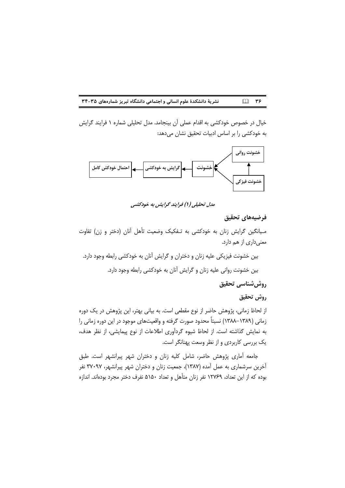نشریهٔ دانشکدهٔ علوم انسانی و اجتماعی دانشگاه تبریز شمارههای ۳۵-۳۴  $\Box$  ۳۶

خیال در خصوص خودکشی به اقدام عملی آن بینجامد. مدل تحلیلی شماره ۱ فرایند گرایش به خودکشی را بر اساس ادبیات تحقیق نشان میدهد:



مدل تحلیلی (۱) فرایند گرایش به خودکشی

### فرضيههاى تحقيق

مـیانگین گرایش زنان به خودکشی به تـفکیک وضعیت تأهل آنان (دختر و زن) تفاوت معنىدارى از هم دارد.

بین خشونت فیزیکی علیه زنان و دختران و گرایش آنان به خودکشی رابطه وجود دارد. بين خشونت رواني عليه زنان و گرايش آنان به خودكشي رابطه وجود دارد.

روش شناسي تحقيق

## روش تحقيق

از لحاظ زمانی، پژوهش حاضر از نوع مقطعی است. به بیانی بهتر، این پژوهش در یک دوره زمانی (۱۳۸۹–۱۳۸۸) نسبتاً محدود صورت گرفته و واقعیتهای موجود در این دوره زمانی را به نمایش گذاشته است. از لحاظ شیوه گردآوری اطلاعات از نوع پیمایشی، از نظر هدف، یک بررسی کاربردی و از نظر وسعت پهنانگر است.

جامعه آماری پژوهش حاضر، شامل کلیه زنان و دختران شهر پیرانشهر است. طبق آخرین سرشماری به عمل آمده (۱۳۸۷)، جمعیت زنان و دختران شهر پیرانشهر، ۳۷۰۹۷ نفر بوده که از این تعداد، ۱۲۷۶۹ نفر زنان متأهل و تعداد ۵۱۵۰ نفرف دختر مجرد بودهاند. اندازه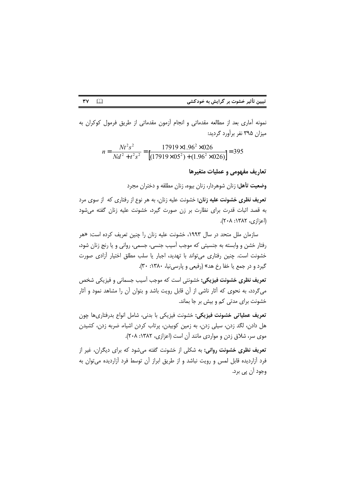نمونه أماري بعد از مطالعه مقدماتي و انجام أزمون مقدماتي از طريق فرمول كوكران به میزان ۳۹۵ نفر برآورد گردید:

$$
n = \frac{Nt^2s^2}{Nd^2 + t^2s^2} = \frac{17919 \times 1.96^2 \times 026}{[(17919 \times 05^2) + (1.96^2 \times 026)]} = 395
$$

تعاريف مفهومي و عمليات متغيرها

وضعیت تأهل: زنان شوهردار، زنان بیوه، زنان مطلقه و دختران مجرد

تعریف نظری خشونت علیه زنان: خشونت علیه زنان، به هر نوع از رفتاری که از سوی مرد به قصد اثبات قدرت برای نظارت بر زن صورت گیرد، خشونت علیه زنان گفته می شود (اعزازی، ۱۳۸۲: ۲۰۸).

سازمان ملل متحد در سال ۱۹۹۳، خشونت علیه زنان را چنین تعریف کرده است: «هر رفتار خشن و وابسته به جنسیتی که موجب آسیب جنسی، جسمی، روانی و یا رنج زنان شود، خشونت است. چنین رفتاری میتواند با تهدید، اجبار یا سلب مطلق اختیار آزادی صورت گیرد و در جمع یا خفا رخ هد» (رفیعی و پارسی نیا، ۱۳۸۰: ۳۰).

تعریف نظری خشونت فیزیکی: خشونتی است که موجب آسیب جسمانی و فیزیکی شخص می گردد، به نحوی که آثار ناشی از آن قابل رویت باشد و بتوان آن را مشاهد نمود و آثار خشونت برای مدتی کم و بیش بر جا بماند.

تعریف عملیاتی خشونت فیزیکی: خشونت فیزیکی با بدنی، شامل انواع بدرفتاریها چون هل دادن، لگد زدن، سیلی زدن، به زمین کوبیدن، پرتاب کردن اشیاء، ضربه زدن، کشیدن موی سر، شلاق زدن و مواردی مانند آن است (اعزازی، ۱۳۸۲: ۲۰۸).

تعریف نظری خشونت روانی: به شکلی از خشونت گفته می شود که برای دیگران، غیر از فرد آزاردیده قابل لمس و رویت نباشد و از طریق ابراز آن توسط فرد آزاردیده می توان به وجود اُن پي برد.

 $\Box$ ٣٧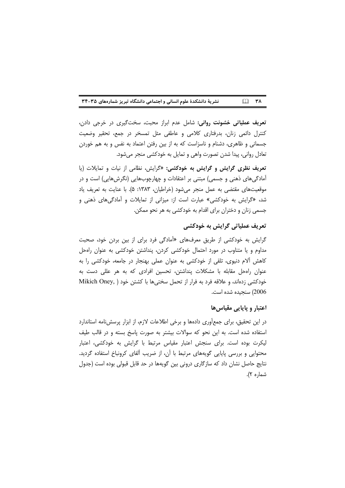#### نشریة دانشکدة علوم انسانی و اجتماعی دانشگاه تبریز شمارههای ۳۵-۳۴  $\square$  ۳۸

**تعریف عملیاتی خشونت روانی:** شامل عدم ابراز محبت، سختگیری در خرجی دادن، کنترل دائمی زنان، بدرفتاری کلامی و عاطفی مثل تمسخر در جمع، تحقیر وضعیت جسمانی و ظاهری، دشنام و ناسزاست که به از بین رفتن اعتماد به نفس و به هم خوردن تعادل روانی، پیدا شدن تصورت واهی و تمایل به خودکشی منجر میشود.

تعریف نظری گرایش و گرایش به خودکشی: «گرایش، نظامی از نیات و تمایلات (یا آمادگیهای ذهنی و جسمی) مبتنی بر اعتقادات و چهارچوبهایی (نگرشهایی) است و در موقعیتهای مقتضی به عمل منجر می شود (خراطیان، ۱۳۸۳: ۵). با عنایت به تعریف یاد شد، «گرایش به خودکشی» عبارت است از: میزانی از تمایلات و آمادگیهای ذهنی و جسمی زنان و دختران برای اقدام به خودکشی به هر نحو ممکن.

# تعریف عملیاتی گرایش به خودکشی

گرایش به خودکشی از طریق معرفهای «آمادگی فرد برای از بین بردن خود، صحبت مداوم و یا متناوب در مورد احتمال خودکشی کردن، پنداشتن خودکشی به عنوان رامحل کاهش آلام دنیوی، تلقی از خودکشی به عنوان عملی بهنجار در جامعه، خودکشی را به عنوان رامحل مقابله با مشکلات پنداشتن، تحسین افرادی که به هر عللی دست به خودكشي زدهاند، و علاقه فرد به فرار از تحمل سختي ها با كشتن خود ( Mikich Oney, 2006) سنجيده شده است.

# اعتبار و پايايي مقياس ها

در این تحقیق، برای جمع[وری دادهها و برخی اطلاعات لازم، از ابزار پرسشنامه استاندارد استفاده شده است. به این نحو که سوالات بیشتر به صورت پاسخ بسته و در قالب طیف لیکرت بوده است. برای سنجش اعتبار مقیاس مرتبط با گرایش به خودکشی، اعتبار محتوایی و بررسی پایایی گویههای مرتبط با آن، از ضریب آلفای کرونباخ استفاده گردید. نتايج حاصل نشان داد كه سازگاري دروني بين گويهها در حد قابل قبولي بوده است (جدول شماره ۲).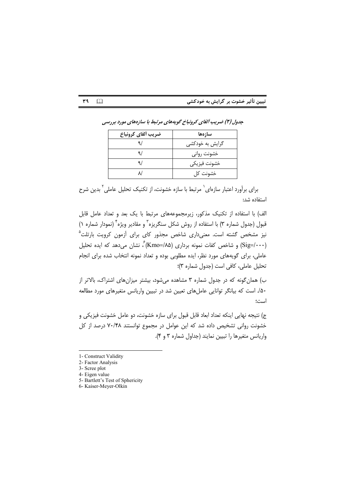| ضريب ألفاي كرونباخ | سازهها          |
|--------------------|-----------------|
|                    | گرایش به خودکشی |
|                    | خشونت رواني     |
|                    | خشونت فيزيكي    |
|                    | خشونت کل        |

جدول (۲) ضریب آلفای کرونباخ گویههای مرتبط با سازههای مورد بررسی

برای برآورد اعتبار سازهای` مرتبط با سازه خشونت، از تکنیک تحلیل عاملی ٍ بدین شرح استفاده شد:

الف) با استفاده از تکنیک مذکور، زیرمجموعههای مرتبط با یک بعد و تعداد عامل قابل قبول (جدول شماره ۳) با استفاده از روش شکل سنگریزه<sup>۳</sup> و مقادیر ویژه<sup>۴</sup> (نمودار شماره ۱) نیز مشخص گشته است. معنیداری شاخص مجذور کای برای آزمون کرویت بارتلت<sup>۵</sup> (Sig=/۰۰۰) و شاخص کفات نمونه برداری (۱۸۵=Kmo) ؒ، نشان می دهد که ایده تحلیل عاملی، برای گویههای مورد نظر، ایده مطلوبی بوده و تعداد نمونه انتخاب شده برای انجام تحليل عاملي، كافي است (جدول شماره ٣)؛

ب) همان گونه که در جدول شماره ۳ مشاهده میشود، بیشتر میزان های اشتراک، بالاتر از ۵۰/. است که بیانگر توانایی عاملهای تعیین شد در تبیین واریانس متغیرهای مورد مطالعه است؛

ج) نتیجه نهایی اینکه تعداد ابعاد قابل قبول برای سازه خشونت، دو عامل خشونت فیزیکی و خشونت روانی تشخیص داده شد که این عوامل در مجموع توانستند ۷۰/۴۸ درصد از کل واریانس متغیرها را تبیین نمایند (جداول شماره ۳ و ۴).

٣٩

 $\Box$ 

- 5- Bartlett's Test of Sphericity
- 6- Kaiser-Meyer-Olkin

<sup>1-</sup> Construct Validity

<sup>2-</sup> Factor Analysis

<sup>3-</sup> Scree plot

<sup>4-</sup> Eigen value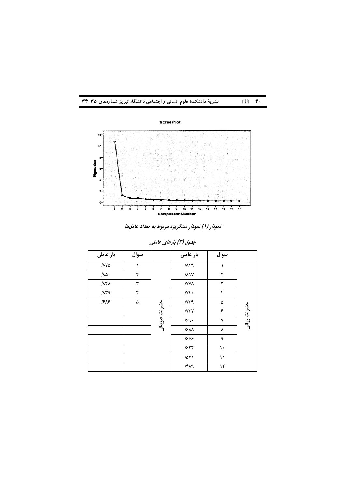



نمودار (۱) نمودار سنگریزه مربوط به تعداد عاملها

| بار عاملی              | سوال |              | بار عاملی                           | سوال                      |             |
|------------------------|------|--------------|-------------------------------------|---------------------------|-------------|
| $/ \lambda V \Delta$   |      |              | $/ \Lambda \Upsilon$ 9              |                           |             |
| $/\lambda \Delta$ .    | ۲    |              | $/\lambda$                          | ۲                         |             |
| $\Lambda$ ۴۸           | ٣    |              | /YYA                                | ٣                         |             |
| $/ \Lambda \Upsilon$ 9 | ۴    |              | $/ \gamma$ .                        | ۴                         |             |
| 1515                   | ۵    |              | /YY9                                | ۵                         |             |
|                        |      | خشونت فيزيكي | / Y Y Y                             | ۶                         | خشونت روانى |
|                        |      |              | 159.                                | ٧                         |             |
|                        |      |              | /3M                                 | Υ                         |             |
|                        |      |              | ٦۶۶۶                                | ٩                         |             |
|                        |      |              | 1548                                | ١.                        |             |
|                        |      |              | $\Delta Y$                          | $\backslash$ $\backslash$ |             |
|                        |      |              | $/\mathfrak{r} \wedge \mathfrak{q}$ | ۱٢                        |             |

جدول (۳) بارهای عاملی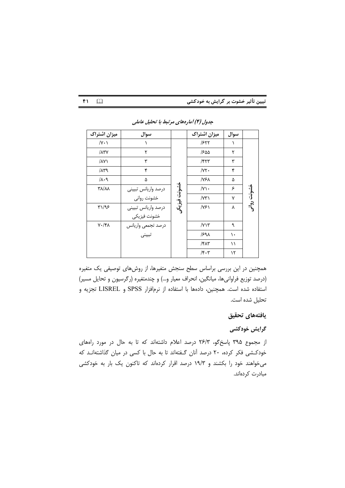| ميزان اشتراك                                           | سوال                |              | ميزان اشتراك                     | سوال |             |
|--------------------------------------------------------|---------------------|--------------|----------------------------------|------|-------------|
| $/Y \cdot Y$                                           |                     |              | 1577                             | Λ    |             |
| $/ \lambda Y$                                          | ۲                   |              | 1800                             | ٢    |             |
| $\Lambda$ Y                                            | ۳                   |              | $/$ ۴۲۳                          | ٣    |             |
| $/ \lambda r \lambda$                                  | ۴                   |              | /YY                              | ۴    |             |
| $/\lambda \cdot 9$                                     | ۵                   |              | /۷۶۸                             | ۵    |             |
| <b>TA/AA</b>                                           | درصد واريانس تبييني |              | /Y                               | ۶    |             |
|                                                        | خشونت رواني         | خشونت فيزيكر | $/ \gamma \gamma$                | ٧    | خشونت روانى |
| $\Upsilon\setminus\bigl\lvert\mathfrak{P}\bigr\rangle$ | درصد واريانس تبييني |              | YF                               | ٨    |             |
|                                                        | خشونت فيزيكي        |              |                                  |      |             |
| $V \cdot / f \Lambda$                                  | درصد تجمعي واريانس  |              | /YY                              | ٩    |             |
|                                                        | تبييني              |              | 1591                             | ١.   |             |
|                                                        |                     |              | $/$ ۴۸۳                          | ۱۱   |             |
|                                                        |                     |              | $/\mathfrak{r}\cdot\mathfrak{r}$ | ۱۲   |             |

جدول (۴) آمارههای مرتبط با تحلیل عاملی

 $f_1$ 

 $\Box$ 

همچنین در این بررسی براساس سطح سنجش متغیرها، از روشهای توصیفی یک متغیره (درصد توزیع فراوانیها، میانگین، انحراف معیار و…) و چندمتغیره (رگرسیون و تحایل مسیر) استفاده شده است. همچنین، دادهها با استفاده از نرمافزار SPSS و LISREL تجزیه و تحليل شده است.

### يافتههاى تحقيق

### گرایش خودکشی

از مجموع ۳۹۵ پاسخگو، ۲۶/۳ درصد اعلام داشتهاند که تا به حال در مورد راههای خودکشی فکر کرده، ۲۰ درصد آنان گفتهاند تا به حال با کسی در میان گذاشتهانـد که می خواهند خود را بکشند و ۱۹/۳ درصد اقرار کردهاند که تاکنون یک بار به خودکشی مبادرت كردهاند.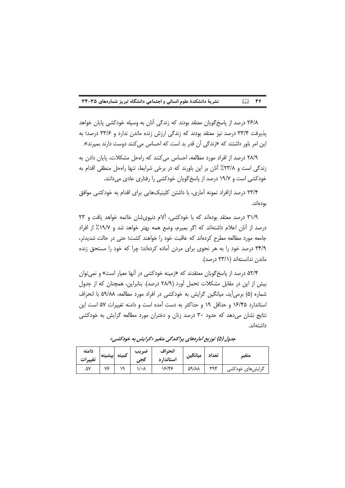#### $\mathbb{Z}$  fr نشریهٔ دانشکدهٔ علوم انسانی و اجتماعی دانشگاه تبریز شمارههای ۳۵-۳۴

۲۶/۸ درصد از پاسخ گویان معتقد بودند که زندگی آنان به وسیله خودکشی پایان خواهد پذیرفت ۳۳/۴ درصد نیز معتقد بودند که زندگی ارزش زنده ماندن ندارد و ۳۳/۶ درصد؛ به این امر باور داشتند که «زندگی آن قدر بد است که احساس می کنند دوست دارند بمیرند».

٢٨/٩ درصد از افراد مورد مطالعه، احساس مي كنند كه رامحل مشكلات، پايان دادن به زندگی است و ۲۳/۸٪ آنان بر این باورند که در برخی شرایط، تنها رامحل منطقی اقدام به خودکشی است و ۱۹/۷ درصد از پاسخ گویان خودکشی را رفتاری عادی می دانند.

۲۳/۴ درصد ازافراد نمونه آماری، با داشتن کلینیکهایی برای اقدام به خودکشی موافق بودەاند.

٣١/٩ درصد معتقد بودهاند كه با خودكشى، آلام دنيوى شان خاتمه خواهد يافت و ٢٣ درصد از آنان اعلام داشتهاند که اگر بمیرم، وضع همه بهتر خواهد شد و ۱۹/۷٪ از افراد جامعه مورد مطالعه مطرح کردهاند که عاقبت خود را خواهند کشت؛ حتی در حالت شدیدتر، ۳۴/۹ درصد خود را به هر نحوی برای مردن آماده کردهاند؛ چرا که خود را مستحق زنده ماندن ندانستهاند (۲۳/۱ درصد).

۵۲/۴ درصد از پاسخ گویان معتقدند که «زمینه خودکشی در آنها معیار است» و نمی توان بیش از این در مقابل مشکلات تحمل آورد (۲۸/۹ درصد). بنابراین، همچنان که از جدول شماره (۵) برمیآید، میانگین گرایش به خودکشی در افراد مورد مطالعه، ۵۹/۸۸ با انحراف استاندارد ۱۶/۴۵ و حداقل ۱۹ و حداکثر به دست آمده است و دامنه تغییرات ۵۷ است این نتایج نشان می دهد که حدود ۳۰ درصد زنان و دختران مورد مطالعه گرایش به خودکشی داشتهاند.

| دامنه<br>تغييرات | بيشينه | كمينه     | ضريب<br>تجى | انحراف<br>استاندار د | ميانگين      | تعداد        | متغير            |
|------------------|--------|-----------|-------------|----------------------|--------------|--------------|------------------|
| ۵۷               | ٧۶     | $\sim$ 0. | ۰۸          | ۱۶/۴۶                | <b>AA/AA</b> | <b>WQ YC</b> | گرایش های خودکشی |

جدول (۵) توزیع آمارههای پراکندگی متغیر «گرایش به خودکشی»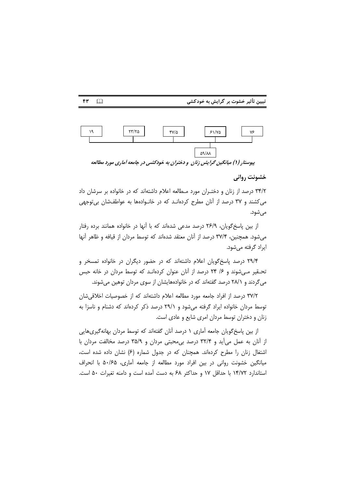۴۳



#### خشونت رواني

۳۴/۲ درصد از زنان و دختـران مورد مـطالعه اعلام داشتهاند که در خانواده بر سرشان داد می کشند و ۳۷ درصد از آنان مطرح کردهانـد که در خانـوادهها به عواطفشان بی توجهی می شود.

از بین پاسخگویان، ۲۶/۹ درصد مدعی شدهاند که با آنها در خانواده همانند برده رفتار میشود. همچنین، ۳۷/۴ درصد از آنان معتقد شدهاند که توسط مردان از قیافه و ظاهر آنها ایراد گرفته می شود.

۲۹/۴ درصد پاسخگویان اعلام داشتهاند که در حضور دیگران در خانواده تمسخر و تحـقیر مـی شوند و ۲۶ ۲۴ درصد از آنان عنوان کردهانـد که توسط مردان در خانه حبس می گردند و ۲۸/۱ درصد گفتهاند که در خانوادههایشان از سوی مردان توهین می شوند.

۳۷/۲ درصد از افراد جامعه مورد مطالعه اعلام داشتهاند که از خصوصیات اخلاقی شان توسط مردان خانواده ایراد گرفته می شود و ۲۹/۱ درصد ذکر کردهاند که دشنام و ناسزا به زنان و دختران توسط مردان امری شایع و عادی است.

از بین پاسخ گویان جامعه آماری ۱ درصد آنان گفتهاند که توسط مردان بهانه گیری هایی از آنان به عمل می آید و ۳۲/۴ درصد بی محبتی مردان و ۳۵/۹ درصد مخالفت مردان با اشتغال زنان را مطرح کردهاند. همچنان که در جدول شماره (۶) نشان داده شده است، میانگین خشونت روانی در بین افراد مورد مطالعه از جامعه آماری، ۵۰/۶۵ با انحراف استاندارد ۱۴/۷۲ با حداقل ۱۷ و حداکثر ۶۸ به دست آمده است و دامنه تغیرات ۵۰ است.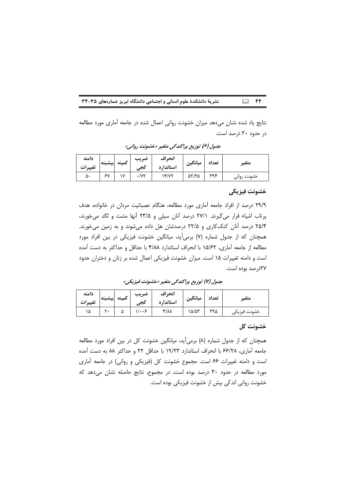$\Box$  FF نشریهٔ دانشکدهٔ علوم انسانی و اجتماعی دانشگاه تبریز شمارههای ۳۵-۳۴

نتایج یاد شده نشان میدهد میزان خشونت روانی اعمال شده در جامعه آماری مورد مطالعه در حدود ۳۰ درصد است.

| دامنه<br>تغييرات | إبيشينه | كمينه     | صريب<br>حجى | انحراف<br>استاندا, د | ميانگين | تعداد       | متعير   |
|------------------|---------|-----------|-------------|----------------------|---------|-------------|---------|
| ۵۰               | ç٧      | $\sqrt{}$ | /v۲         | 15/12                | 55/65   | <b>Wave</b> | خشونت , |

جدول (۶) توزیع پراکندگی متغیر «خشونت روانی»

## خشونت فيزيكي

۲۹/۹ درصد از افراد جامعه آماری مورد مطالعه، هنگام عصبانیت مردان در خانواده، هدف پرتاب اشیاء قرار می گیرند. ۲۷/۱ درصد آنان سیلی و ۲۳/۵ آنها مشت و لگد می خورند، ۲۵/۴ درصد آنان کتککاری و ۲۲/۵ درصدشان هل داده میشوند و به زمین میخورند. همچنان که از جدول شماره (۷) برمی آید، میانگین خشونت فیزیکی در بین افراد مورد مطالعه از جامعه آماری، ۱۵/۶۲ با انحراف استاندارد ۴/۸۸ با حداقل و حداکثر به دست آمده است و دامنه تغییرات ۱۵ است. میزان خشونت فیزیکی اعمال شده بر زنان و دختران حدود ٢٧درصد بوده است.

جدول (٧) توزیع پراکندگی متغیر «خشونت فیزیکی»

| دامنه   | إبيشينه | كمينه | ضريب                  | انحراف             | ميانگين | تعداد | متعير        |
|---------|---------|-------|-----------------------|--------------------|---------|-------|--------------|
| تغييرات |         |       | كجى                   | استاندا, د         |         |       |              |
| ۱۵      |         | ω     | $1/\cdot \cdot \cdot$ | $f/\lambda\lambda$ | ۱۵/۵۳   | ۳۹۵   | خشونت فيزيكى |

### خشونت كل

همچنان که از جدول شماره (۸) برمیآید، میانگین خشونت کل در بین افراد مورد مطالعه جامعه آماري، ۶۶/۲۸ با انحراف استاندارد ۱۹/۲۳ با حداقل ۲۲ و حداکثر ۸۸ به دست آمده است و دامنه تغییرات ۶۶ است. مجموع خشونت کل (فیزیکی و روانی) در جامعه آماری مورد مطالعه در حدود ۳۰ درصد بوده است. در مجموع، نتایج حاصله نشان می دهد که خشونت روانی اندکی بیش از خشونت فیزیکی بوده است.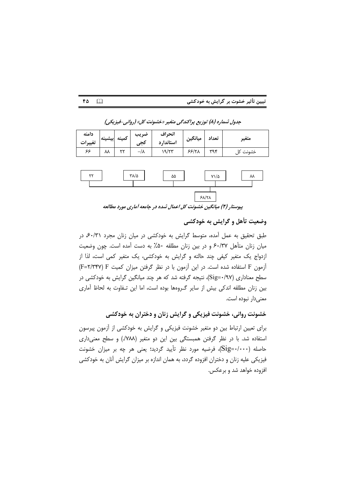

جدول شماره (۸) توزیع پراکندگی متغیر «خشونت کل» (روانی-فیزیکی)

۴۵

 $\Box$ 



پیوستار (۲) میانگین خشونت کل اعمال شده در جامعه آماری مورد مطالعه

وضعيت تأهل و گرايش به خودكشي

طبق تحقیق به عمل آمده، متوسط گرایش به خودکشی در میان زنان مجرد ۶۰/۳۱ در میان زنان متأهل ۶۰/۳۷ و در بین زنان مطلقه ۵۰٪ به دست آمده است. چون وضعیت ازدواج یک متغیر کیفی چند حالته و گرایش به خودکشی، یک متغیر کمی است، لذا از آزمون F استفاده شده است. در این آزمون با در نظر گرفتن میزان کمیت F=۲/۳۴۷) F سطح معناداری (Sig=۰/۹۷)، نتیجه گرفته شد که هر چند میانگین گرایش به خودکشی در بین زنان مطلقه اندکی بیش از سایر گـروهها بوده است، اما این تـفاوت به لحاظ آماری معنى دار نبوده است.

خشونت روانی، خشونت فیزیکی و گرایش زنان و دختران به خودکشی

برای تعیین ارتباط بین دو متغیر خشونت فیزیکی و گرایش به خودکشی از آزمون پیرسون استفاده شد. با در نظر گرفتن همبستگی بین این دو متغیر (۷۸۸/) و سطح معنیداری حاصله (Sig=۰/۰۰۰)، فرضیه مورد نظر تأیید گردید؛ یعنی هر چه بر میزان خشونت فیزیکی علیه زنان و دختران افزوده گردد، به همان اندازه بر میزان گرایش آنان به خودکشی افزوده خواهد شد و برعکس.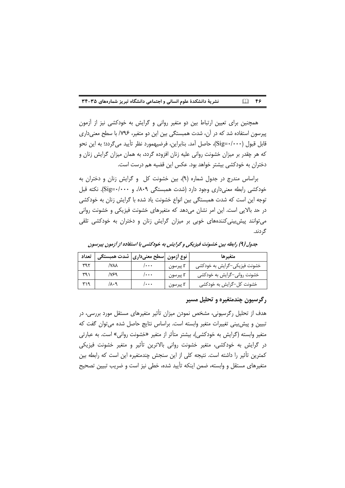|  |  | نشریهٔ دانشکدهٔ علوم انسانی و اجتماعی دانشگاه تبریز شمارههای ۳۵-۳۴ | $\Box$ FS |
|--|--|--------------------------------------------------------------------|-----------|
|--|--|--------------------------------------------------------------------|-----------|

همچنین برای تعیین ارتباط بین دو متغیر روانی و گرایش به خودکشی نیز از آزمون پیرسون استفاده شد که در آن، شدت همبستگی بین این دو متغیر، ۷۹۶/ با سطح معنیداری قابل قبول (Sig=۰/۰۰۰)، حاصل آمد. بنابراین، فرضیهمورد نظر تأیید می¢ردد؛ به این نحو که هر چقدر بر میزان خشونت روانی علیه زنان افزوده گردد، به همان میزان گرایش زنان و دختران به خودکشی بیشتر خواهد بود. عکس این قضیه هم درست است.

براساس مندرج در جدول شماره (٩)، بين خشونت كل و گرايش زنان و دختران به خودکشی رابطه معنی داری وجود دارد (شدت همبستگی ۸۰۹/. و Sig=۰/۰۰۰). نکته قبل توجه این است که شدت همبستگی بین انواع خشونت یاد شده با گرایش زنان به خودکشی در حد بالایی است. این امر نشان میدهد که متغیرهای خشونت فیزیکی و خشونت روانی می توانند پیش بینی کنندههای خوبی بر میزان گرایش زنان و دختران به خودکشی تلقی گر دند.

جدول (۹) رابطه بین خشونت فیزیکی و گرایش به خودکشی با استفاده از آزمون پیرسون

| تعداد | ' نوع ازمون  سطح معنیداری  شدت همبستگی |             |          | متغيرها                      |
|-------|----------------------------------------|-------------|----------|------------------------------|
| ۳۹۲   | /Υλλ                                   | <b>.</b>    | I پيرسون | خشونت فیزیکی–گرایش به خودکشی |
| ۳۹۱   | /۷۶۹                                   | l           | r پيرسون | خشونت رواني–گرايش به خودكشي  |
| ۳۱۹   | ۸۰۹/                                   | <b>/***</b> | I پیرسون | خشونت کل–گرایش به خودکشی     |

رگرسیون چندمتغیره و تحلیل مسیر

هدف از تحلیل رگرسیونی، مشخص نمودن میزان تأثیر متغیرهای مستقل مورد بررسی، در تبیین و پیش بینی تغییرات متغیر وابسته است. براساس نتایج حاصل شده می توان گفت که متغیر وابسته (گرایش به خودکشی)، بیشتر متأثر از متغیر «خشونت روانی» است. به عبارتی در گرایش به خودکشی، متغیر خشونت روانی بالاترین تأثیر و متغیر خشونت فیزیکی کمترین تأثیر را داشته است. نتیجه کلی از این سنجش چندمتغیره این است که رابطه بین متغیرهای مستقل و وابسته، ضمن اینکه تأیید شده، خطی نیز است و ضریب تبیین تصحیح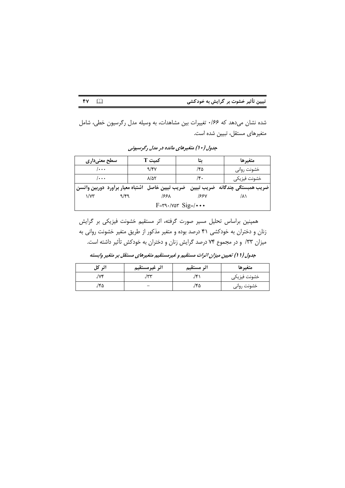| تبیین تأثیر خشوت بر گرایش به خودکشی |  |  |
|-------------------------------------|--|--|
|-------------------------------------|--|--|

شده نشان میدهد که ۱۶۶۰ تغییرات بین مشاهدات، به وسیله مدل رگرسیون خطی، شامل متغیرهای مستقل، تبیین شده است.

 $YV$   $\Box$ 

| سطح معنیداری                                          | كمىت T |                          | ىتا  | متغيرها       |                                                                                       |  |
|-------------------------------------------------------|--------|--------------------------|------|---------------|---------------------------------------------------------------------------------------|--|
| <b>/</b>                                              |        | 9/8V                     |      | ۱۴۵           | خشونت روانى                                                                           |  |
| $/ \cdot \cdot \cdot$                                 |        | $\lambda/\Delta\Upsilon$ |      | $\mathcal{N}$ | خشونت فيزيكي                                                                          |  |
|                                                       |        |                          |      |               | ضريب همبستگي چندگانه  ضريب تبيين   ضريب تبيين خاصل  اشتباه معيار برأورد  دوربين واتسن |  |
| $\sqrt{x}$                                            | ۹/۴۹   |                          | ۱۶۶۸ |               | ۸۱                                                                                    |  |
| $F = r^q \cdot \text{var } Sig = / \cdot \cdot \cdot$ |        |                          |      |               |                                                                                       |  |

جدول (۱۰) متغیرهای مانده در مدل رگرسیونی

همپنین براساس تحلیل مسیر صورت گرفته، اثر مستقیم خشونت فیزیکی بر گرایش زنان و دختران به خودکشی ۴۱ درصد بوده و متغیر مذکور از طریق متغیر خشونت روانی به میزان ۳۳/ و در مجموع ۷۴ درصد گرایش زنان و دختران به خودکش تأثیر داشته است.

| 1 ژن<br>كل | اثر غيرمستقيم | اثر مستقيم | متغيرها      |
|------------|---------------|------------|--------------|
| /v۴        | سرس           | $\cdot$    | خشونت فيزيكي |
| ۲۵/۰       |               | ۲۵-۱.      | خشونت روانى  |

جدول ( 1 ) تعیین میزان اثرات مستقیم و غیرمستقیم متغیرهای مستقل بر متغیر وابسته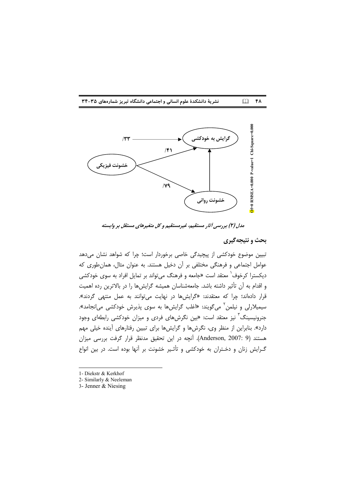



مدل (۲) بررسی آثار مستقیم، غیرمستقیم و کل متغیرهای مستقل بر وابسته

#### بحث و نتیجهگیری

تبیین موضوع خودکشی از پیچیدگی خاصی برخوردار است؛ چرا که شواهد نشان میدهد عوامل اجتماعی و فرهنگی مختلفی بر آن دخیل هستند. به عنوان مثال، همان طوری که دیکسترا کرخوف<sup>٬</sup> معتقد است «جامعه و فرهنگ می¤واند بر تمایل افراد به سوی خودکشی و اقدام به آن تأثیر داشته باشد. جامعهشناسان همیشه گرایشها را در بالاترین رده اهمیت قرار دادهاند؛ چرا که معتقدند: «گرایشها در نهایت می توانند به عمل منتهی گردند». سیمیلارلی و نیلمن<sup>۲</sup> میگویند: «اغلب گرایشها به سوی پذیرش خودکشی میانجامد». جنرونیسینگ<sup>۳</sup> نیز معتقد است: «بین نگرشهای فردی و میزان خودکشی رابطهای وجود دارد». بنابراین از منظر وی، نگرشها و گرایشها برای تبیین رفتارهای آینده خیلی مهم هستند (Anderson, 2007: 9). آنچه در این تحقیق مدنظر قرار گرفت بررسی میزان گـرایش زنان و دخـتران به خودکشی و تأثـیر خشونت بر آنها بوده است. در بین انواع

- 1- Diekstr & Kerkhof
- 2- Similarly & Neeleman
- 3- Jenner & Niesing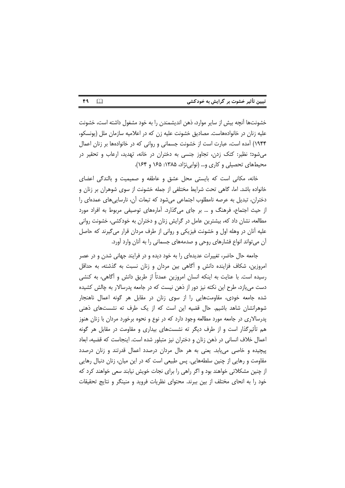|  |  |  | تبیین تأثیر خشوت بر گرایش به خودکشی |
|--|--|--|-------------------------------------|
|--|--|--|-------------------------------------|

۴۹  $\Box$ 

خشونتها آنچه بیش از سایر موارد، ذهن اندیشمندن را به خود مشغول داشته است، خشونت علیه زنان در خانوادههاست. مصادیق خشونت علیه زن که در اعلامیه سازمان ملل (یونسکو، ۱۹۴۴) آمده است، عبارت است از خشونت جسمانی و روانی که در خانوادهها بر زنان اعمال میشود؛ نظیر: کتک زدن، تجاوز جنسی به دختران در خانه، تهدید، ارعاب و تحقیر در محیطهای تحصیلی و کاری و… (نوابی نژاد، ۱۳۸۵: ۱۶۵ و ۱۶۴).

خانه، مكانى است كه بايستى محل عشق و عاطفه و صميميت و بالندگى اعضاى خانواده باشد. اما، گاهی تحت شرایط مختلفی از جمله خشونت از سوی شوهران بر زنان و دختران، تبدیل به عرصه نامطلوب اجتماعی می شود که تبعات آن، نارسایی های عمدهای را از حیث اجتماع، فرهنگ و … بر جای میگذارد. آمارههای توصیفی مربوط به افراد مورد مطالعه، نشان داد که، بیشترین عامل در گرایش زنان و دختران به خودکشی، خشونت روانی علیه آنان در وهله اول و خشونت فیزیکی و روانی از طرف مردان قرار می گیرند که حاصل آن می تواند انواع فشارهای روحی و صدمههای جسمانی را به آنان وارد آورد.

جامعه حال حاضر، تغییرات عدیدهای را به خود دیده و در فرایند جهانی شدن و در عصر امروزین، شکاف فزاینده دانش و أگاهی بین مردان و زنان نسبت به گذشته، به حداقل رسیده است. با عنایت به اینکه انسان امروزین عمدتاً از طریق دانش و آگاهی، به کنشی دست می یازد، طرح این نکته نیز دور از ذهن نیست که در جامعه پدرسالار به چالش کشیده شده جامعه خودی، مقاومتهایی را از سوی زنان در مقابل هر گونه اعمال ناهنجار شوهرانشان شاهد باشیم. حال قضیه این است که از یک طرف ته نشستهای ذهنی پدرسالاری در جامعه مورد مطالعه وجود دارد که در نوع و نحوه برخورد مردان با زنان هنوز هم تأثیر گذار است و از طرف دیگر ته نشستهای بیداری و مقاومت در مقابل هر گونه اعمال خلاف انسانی در ذهن زنان و دختران نیز متبلور شده است. اینجاست که قضیه، ابعاد پیچیده و خاصی می یابد. یعنی به هر حال مردان درصدد اعمال قدرتند و زنان درصدد مقاومت و رهایی از چنین سلطههایی. پس طبیعی است که در این میان، زنان دنبال رهایی از چنین مشکلاتی خواهند بود و اگر راهی را برای نجات خویش نیابند سعی خواهند کرد که خود را به انحای مختلف از بین ببرند. محتوای نظریات فروید و منینگر و نتایج تحقیقات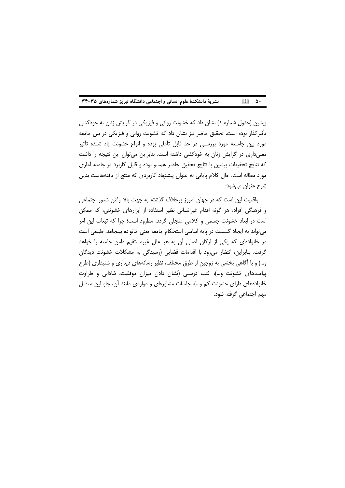| نشریهٔ دانشکدهٔ علوم انسانی و اجتماعی دانشگاه تبریز شمارههای ۳۵-۳۴ |  | $\Box$ $\Delta$ |  |
|--------------------------------------------------------------------|--|-----------------|--|
|--------------------------------------------------------------------|--|-----------------|--|

پیشین (جدول شماره ۱) نشان داد که خشونت روانی و فیزیکی در گرایش زنان به خودکشی تأثیر گذار بوده است. تحقیق حاضر نیز نشان داد که خشونت روانی و فیزیکی در بین جامعه مورد بین جامـعه مورد بررسـی در حد قابل تأملی بوده و انواع خشونت یاد شـده تأثیر معنیداری در گرایش زنان به خودکشی داشته است. بنابراین میتوان این نتیجه را داشت كه نتايج تحقيقات پيشين با نتايج تحقيق حاضر همسو بوده و قابل كاربرد در جامعه آمارى مورد مطاله است. حال کلام پایانی به عنوان پیشنهاد کاربردی که منتج از یافتههاست بدین شرح عنوان ميشود:

واقعیت این است که در جهان امروز برخلاف گذشته به جهت بالا رفتن شعور اجتماعی و فرهنگی افراد، هر گونه اقدام غیرانسانی نظیر استفاده از ابزارهای خشونتی، که ممکن است در ابعاد خشونت جسمی و کلامی متجلی گردد، مطرود است؛ چرا که تبعات این امر می تواند به ایجاد گسست در پایه اساسی استحکام جامعه یعنی خانواده بینجامد. طبیعی است در خانوادهای که یکی از ارکان اصلی آن به هر علل غیرمستقیم دامن جامعه را خواهد گرفت. بنابراین، انتظار می رود با اقدامات قضایی (رسیدگی به مشکلات خشونت دیدگان و…) و با آگاهی بخشی به زوجین از طرق مختلف، نظیر رسانههای دیداری و شنیداری (طرح پیامدهای خشونت و…)، کتب درسـی (نشان دادن میزان موفقیت، شادابی و طراوت خانوادههای دارای خشونت کم و…)، جلسات مشاورهای و مواردی مانند آن، جلو این معضل مهم اجتماعي گرفته شود.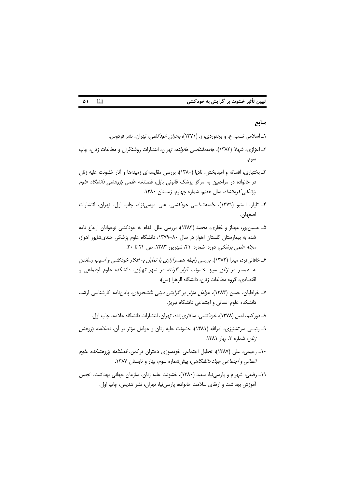|  |  | تبیین تأثیر خشوت بر گرایش به خودکشی |  |
|--|--|-------------------------------------|--|
|  |  |                                     |  |

#### $\Box$ ۵۱

### منابع

- ۱\_ اسلامی نسب، ع. و بجنوردی، ز. (۱۳۷۱)، *بحران خودکشی،* تهران، نشر فردوس.
- ۲\_ اعزازی، شهلا (۱۳۸۲)، ج*امعه شناسی خانواده*، تهران، انتشارات روشنگران و مطالعات زنان، چاپ سوم.
- ۳\_ بختیاری، افسانه و امیدبخش، نادیا (۱۳۸۰)، بررسی مقایسهای زمینهها و آثار خشونت علیه زنان در خانواده در مراجعین به مرکز پزشک قانونی بابل، فصلنا*مه علمی پژوهشی دانشگاه علوم پزشکی کرمانشاه*، سال هفتم، شماره چهارم، زمستان ۱۳۸۰.
- ۴ـ تايلر، استيو (١٣٧٩)، ج*امعه شناسى خودكشى،* على موسى نژاد، چاپ اول، تهران، انتشارات اصفهان.
- ۵\_ حسین پور، مهناز و غفاری، محمد (۱۳۸۳)، بررسی علل اقدام به خودکشی نوجوانان ارجاع داده شده به بیمارستان گلستان اهواز در سال ۸۰–۱۳۷۹، دانشگاه علوم پزشکی جندی شاپور اهواز، مجله *علمی پزشکی،* دوره: شماره: ۴۱، شهریور ۱۳۸۳، ص ۲۴ تا ۳۰.
- ع خاقانی فرد، میترا (۱۳۸۲)، برر*سی رابطه همسرآزاری با تمایل به افکار خودکشی و آسیب رساندن* به همسر در زنان مورد خ*شونت قرار گرفته در شهر تهران*، دانشکده علوم اجتماعی و اقتصادی، گروه مطالعات زنان، دانشگاه الزهرا (س)،
- ۷ـ خراطیان، حسن (۱۳۸۳)، *عوامل مؤثر بر گرایش دینی دانشجویان*، پایاننامه کارشناسی ارشد، دانشکده علوم انسانی و اجتماعی دانشگاه تبریز.
	- ٨ـ دوركيم، اميل (١٣٧٨)، *خودكشي،* سالارىزاده، تهران، انتشارات دانشگاه علامه، چاپ اول.
- ۹ـ رئيسي سرتشنيزي، امرالله (١٣٨١)، خشونت عليه زنان و عوامل مؤثر بر آن، *فصلنامه پژوهش زنان،* شماره ۳، بهار ۱۳۸۱.
- ۱۰ـ رحیمی، علی (۱۳۸۷)، تحلیل اجتماعی خودسوزی دختران ترکمن، *فصلنامه پژوهشکده علوم انسانی و اجتماعی جهاد دانشگاهی،* پیش شماره سوم، بهار و تابستان ۱۳۸۷.
- ١١ـ رفيعي، شهرام و پارسي،نيا، سعيد (١٣٨٠)، خشونت عليه زنان، سازمان جهاني بهداشت، انجمن آموزش بهداشت و ارتقای سلامت خانواده، پارسی نیا، تهران، نشر تندیس، چاپ اول.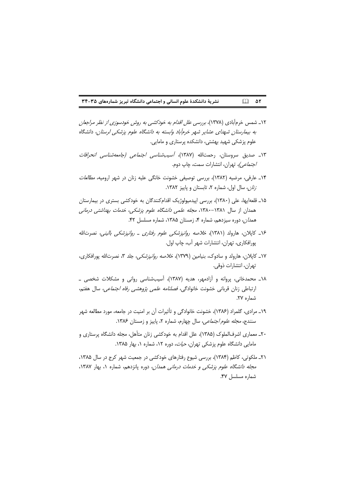#### نشریهٔ دانشکدهٔ علوم انسانی و اجتماعی دانشگاه تبریز شمارههای ۳۵-۳۴  $\Box$   $\Delta Y$

- ۱۲\_ شمس خرم آبادی (۱۳۷۸)، برر*سی علل اقدام به خودکشی به روش خودسوزی از نظر مراجعان* به بیمارستان شهدای عشایر شهر خرمآباد وابسته به دانشگاه علوم پزشکی لرستان، دانشگاه علوم پزشکی شهید بهشتی، دانشکده پرستاری و مامایی.
- ۱۳\_ صدیق سروستان، رحمتالله (۱۳۸۷)، *آسیبشناسی اجتماعی (جامعهشناسی انحرافات* /جتم*اعي)،* تهران، انتشارات سمت، چاپ دوم.
- ۱۴ـ عارفي، مرضيه (۱۳۸۲)، بررسي توصيفي خشونت خانگي عليه زنان در شهر اروميه، *مطالعات* تان، سال اول، شماره ٢، تابستان و پاییز ١٣٨٢.
- ۱۵\_ قلعه|یها، علی (۱۳۸۰)، بررسی اپیدمیولوژیک اقدامکنندگان به خودکشی بستری در بیمارستان همدان از سال ۱۳۸۱–۱۳۸۰، *مجله علمی دانشگاه علوم پزشکی، خدمات بهداشتی درمانی* هم*دان،* دوره سیزدهم، شماره ۴، زمستان ۱۳۸۵، شماره مسلسل ۴۲.
- ۱۶ـ کاپلان، هارولد (۱۳۸۱)، خ*لاصه روانیزشکی علوم رفتاری ـ روانیزشکی بالینی،* نصرتالله پورافكارى، تهران، انتشارات شهر أب، چاپ اول.
- ١٧ـ كايلان، هارولد و سادوك، بنيامين (١٣٧٩)، خ*لاصه روانپزشكى،* جلد ٣، نصرتالله پورافكارى، تهران، انتشارات ذوقي.
- ١٨\_ محمدخاني، پروانه و آزادمهر، هديه (١٣٨٧)، آسيبشناسي رواني و مشكلات شخصي \_ ارتباطی زنان قربانی خشونت خانوادگی، *فصلنامه علمی پژوهشی رفاه اجتماعی،* سال هفتم، شماره ٢٧.
- ١٩\_ مرادى، گلمراد (١٣٨۶)، خشونت خانوادگى و تأثيرات آن بر امنيت در جامعه، مورد مطالعه شهر سنندج، *مجله علوم اجتماعی*، سال چهارم، شماره ۲، پاییز و زمستان ۱۳۸۶.
- ۲۰ـ معماری اشرفالملوک (۱۳۸۵)، علل اقدام به خودکشی زنان متأهل، مجله دانشگاه پرستاری و مامایی دانشگاه علوم پزشکی تهران، *حیات*، دوره ۱۲، شماره ۱، بهار ۱۳۸۵.
- ٢١ـ ملكوتى، كاظم (١٣٨۴)، بررسى شيوع رفتارهاى خودكشى در جمعيت شهر كرج در سال ١٣٨۵، *مجله دانشگاه علوم پزشکی و خدمات درمانی همدان*، دوره پانزدهم، شماره ۱، بهار ۱۳۸۷، شماره مسلسل ۴۷.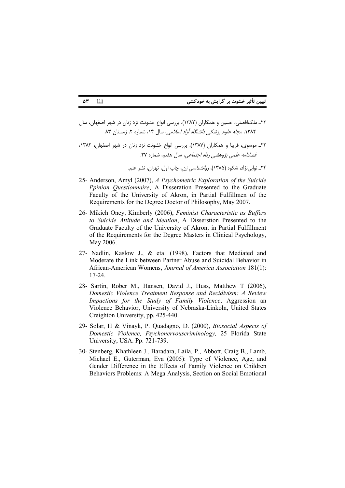- ٢٢ـ ملک|فضلی، حسین و همکاران (١٣٨٢)، بررسی انواع خشونت نزد زنان در شهر اصفهان، سال ۱۳۸۲، *مجله علوم یزشکی دانشگاه آزاد اسلامی،* سال ۱۴، شماره ۲، زمستان ۸۳.
- ٢٣ـ موسوى، فريبا و همكاران (١٣٨٧)، بررسي انواع خشونت نزد زنان در شهر اصفهان، ١٣٨٢، فصلنامه علمی پژوهشی رفاه اجتماعی، سال هفتم، شماره ۲۷.

۲۴ـ نوابي نژاد، شکوه (۱۳۸۵)، ر*وانشناسي زن*، چاپ اول، تهران، نشر علم.

- 25- Anderson, Amyl (2007), A Psychometric Exploration of the Suicide Ppinion Questionnaire, A Disseration Presented to the Graduate Faculty of the University of Akron, in Partial Fulfillmen of the Requirements for the Degree Doctor of Philosophy, May 2007.
- 26- Mikich Oney, Kimberly (2006), Feminist Characteristic as Buffers to Suicide Attitude and Ideation, A Disserstion Presented to the Graduate Faculty of the University of Akron, in Partial Fulfillment of the Requirements for the Degree Masters in Clinical Psychology, May 2006.
- 27- Nadlin, Kaslow J., & etal (1998), Factors that Mediated and Moderate the Link between Partner Abuse and Suicidal Behavior in African-American Womens, Journal of America Association 181(1): 17-24.
- 28- Sartin, Rober M., Hansen, David J., Huss, Matthew T (2006), Domestic Violence Treatment Response and Recidivism: A Review Impactions for the Study of Family Violence, Aggression an Violence Behavior, University of Nebraska-Linkoln, United States Creighton University, pp. 425-440.
- 29- Solar, H & Vinayk, P. Quadagno, D. (2000), Biosocial Aspects of Domestic Violence, Psychonervouscriminology, 25 Florida State University, USA. Pp. 721-739.
- 30- Stenberg, Khathleen J., Baradara, Laila, P., Abbott, Craig B., Lamb, Michael E., Guterman, Eva (2005): Type of Violence, Age, and Gender Difference in the Effects of Family Violence on Children Behaviors Problems: A Mega Analysis, Section on Social Emotional

 $\Box$ ۵٣